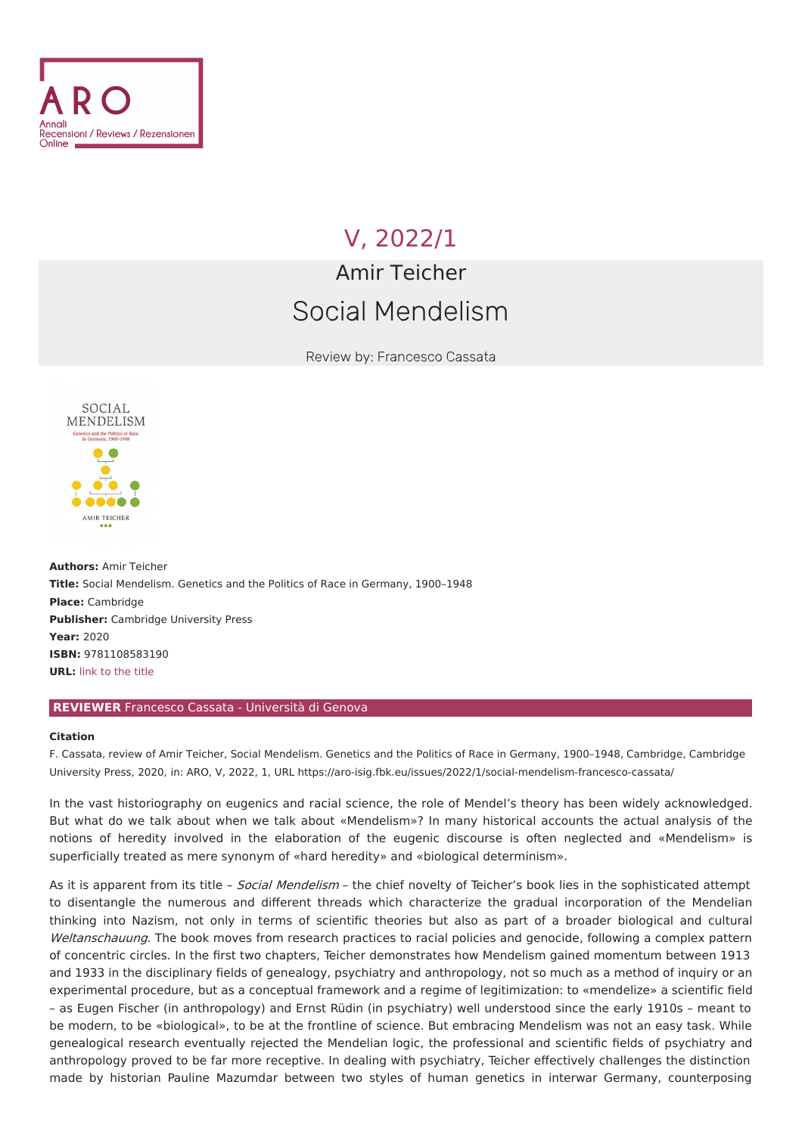

## V, [2022/1](file:///issues/2022/1/)

## Amir Teicher Social Mendelism

Review by: Francesco Cassata



**Authors:** Amir Teicher **Title:** Social Mendelism. Genetics and the Politics of Race in Germany, 1900–1948 **Place:** Cambridge **Publisher:** Cambridge University Press **Year:** 2020 **ISBN:** 9781108583190 **URL:** link to the [title](https://www.cambridge.org/core/books/social-mendelism/9D75B07C66371E2A30653650DDB8444B)

## **REVIEWER** Francesco Cassata - Università di Genova

## **Citation**

F. Cassata, review of Amir Teicher, Social Mendelism. Genetics and the Politics of Race in Germany, 1900–1948, Cambridge, Cambridge University Press, 2020, in: ARO, V, 2022, 1, URL <https://aro-isig.fbk.eu/issues/2022/1/social-mendelism-francesco-cassata/>

In the vast historiography on eugenics and racial science, the role of Mendel's theory has been widely acknowledged. But what do we talk about when we talk about «Mendelism»? In many historical accounts the actual analysis of the notions of heredity involved in the elaboration of the eugenic discourse is often neglected and «Mendelism» is superficially treated as mere synonym of «hard heredity» and «biological determinism».

As it is apparent from its title - Social Mendelism - the chief novelty of Teicher's book lies in the sophisticated attempt to disentangle the numerous and different threads which characterize the gradual incorporation of the Mendelian thinking into Nazism, not only in terms of scientific theories but also as part of a broader biological and cultural Weltanschauung. The book moves from research practices to racial policies and genocide, following a complex pattern of concentric circles. In the first two chapters, Teicher demonstrates how Mendelism gained momentum between 1913 and 1933 in the disciplinary fields of genealogy, psychiatry and anthropology, not so much as a method of inquiry or an experimental procedure, but as a conceptual framework and a regime of legitimization: to «mendelize» a scientific field – as Eugen Fischer (in anthropology) and Ernst Rüdin (in psychiatry) well understood since the early 1910s – meant to be modern, to be «biological», to be at the frontline of science. But embracing Mendelism was not an easy task. While genealogical research eventually rejected the Mendelian logic, the professional and scientific fields of psychiatry and anthropology proved to be far more receptive. In dealing with psychiatry, Teicher effectively challenges the distinction made by historian Pauline Mazumdar between two styles of human genetics in interwar Germany, counterposing